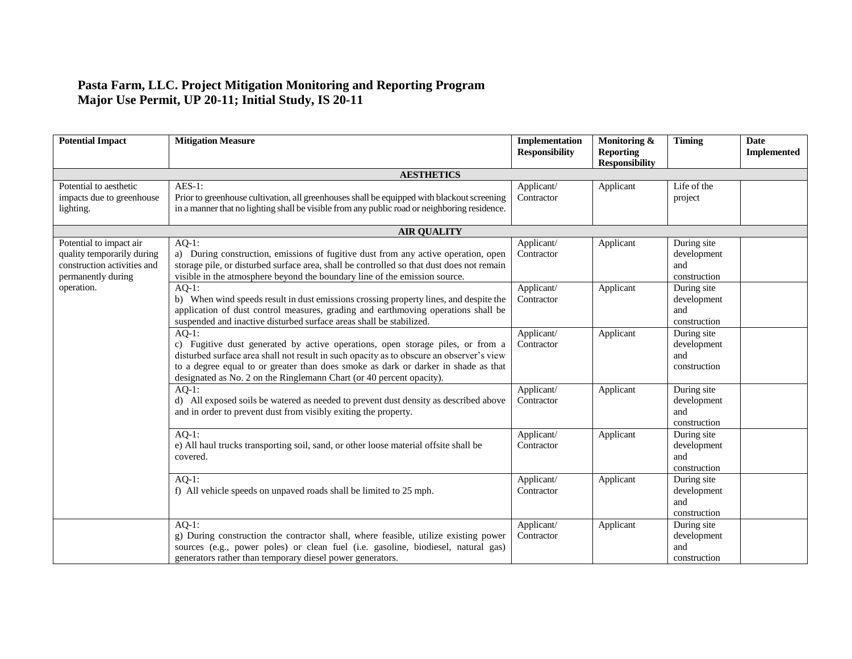## **Pasta Farm, LLC. Project Mitigation Monitoring and Reporting Program Major Use Permit, UP 20-11; Initial Study, IS 20-11**

| <b>Potential Impact</b>                                                                                                  | <b>Mitigation Measure</b>                                                                                                                                                                                                                                                                                                                            | Implementation<br><b>Responsibility</b> | Monitoring &<br><b>Reporting</b><br><b>Responsibility</b> | <b>Timing</b>                                     | <b>Date</b><br><b>Implemented</b> |
|--------------------------------------------------------------------------------------------------------------------------|------------------------------------------------------------------------------------------------------------------------------------------------------------------------------------------------------------------------------------------------------------------------------------------------------------------------------------------------------|-----------------------------------------|-----------------------------------------------------------|---------------------------------------------------|-----------------------------------|
|                                                                                                                          | <b>AESTHETICS</b>                                                                                                                                                                                                                                                                                                                                    |                                         |                                                           |                                                   |                                   |
| Potential to aesthetic<br>impacts due to greenhouse<br>lighting.                                                         | $AES-1$ :<br>Prior to greenhouse cultivation, all greenhouses shall be equipped with blackout screening<br>in a manner that no lighting shall be visible from any public road or neighboring residence.                                                                                                                                              | Applicant/<br>Contractor                | Applicant                                                 | Life of the<br>project                            |                                   |
|                                                                                                                          | <b>AIR QUALITY</b>                                                                                                                                                                                                                                                                                                                                   |                                         |                                                           |                                                   |                                   |
| Potential to impact air<br>quality temporarily during<br>construction activities and<br>permanently during<br>operation. | $AO-1$ :<br>a) During construction, emissions of fugitive dust from any active operation, open<br>storage pile, or disturbed surface area, shall be controlled so that dust does not remain<br>visible in the atmosphere beyond the boundary line of the emission source.                                                                            | Applicant/<br>Contractor                | Applicant                                                 | During site<br>development<br>and<br>construction |                                   |
|                                                                                                                          | $AQ-1$ :<br>b) When wind speeds result in dust emissions crossing property lines, and despite the<br>application of dust control measures, grading and earthmoving operations shall be<br>suspended and inactive disturbed surface areas shall be stabilized.                                                                                        | Applicant/<br>Contractor                | Applicant                                                 | During site<br>development<br>and<br>construction |                                   |
|                                                                                                                          | $AO-1$ :<br>c) Fugitive dust generated by active operations, open storage piles, or from a<br>disturbed surface area shall not result in such opacity as to obscure an observer's view<br>to a degree equal to or greater than does smoke as dark or darker in shade as that<br>designated as No. 2 on the Ringlemann Chart (or 40 percent opacity). | Applicant/<br>Contractor                | Applicant                                                 | During site<br>development<br>and<br>construction |                                   |
|                                                                                                                          | $AO-1$ :<br>d) All exposed soils be watered as needed to prevent dust density as described above<br>and in order to prevent dust from visibly exiting the property.                                                                                                                                                                                  | Applicant/<br>Contractor                | Applicant                                                 | During site<br>development<br>and<br>construction |                                   |
|                                                                                                                          | $AQ-1$ :<br>e) All haul trucks transporting soil, sand, or other loose material offsite shall be<br>covered.                                                                                                                                                                                                                                         | Applicant/<br>Contractor                | Applicant                                                 | During site<br>development<br>and<br>construction |                                   |
|                                                                                                                          | $AQ-1$ :<br>f) All vehicle speeds on unpaved roads shall be limited to 25 mph.                                                                                                                                                                                                                                                                       | Applicant/<br>Contractor                | Applicant                                                 | During site<br>development<br>and<br>construction |                                   |
|                                                                                                                          | $AQ-1$ :<br>g) During construction the contractor shall, where feasible, utilize existing power<br>sources (e.g., power poles) or clean fuel (i.e. gasoline, biodiesel, natural gas)<br>generators rather than temporary diesel power generators.                                                                                                    | Applicant/<br>Contractor                | Applicant                                                 | During site<br>development<br>and<br>construction |                                   |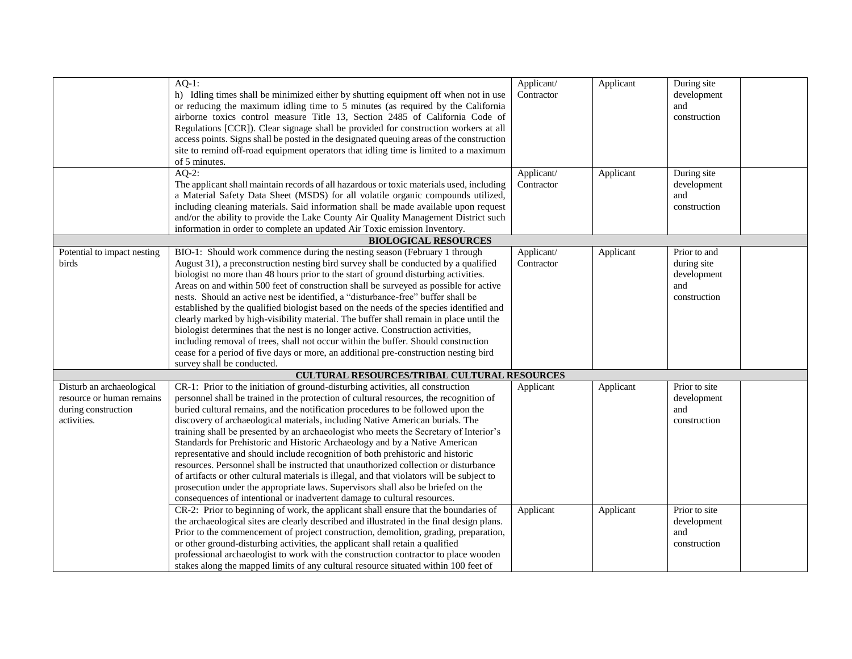| $AQ-1$ :<br>Applicant/<br>During site<br>Applicant                                                                                                      |  |
|---------------------------------------------------------------------------------------------------------------------------------------------------------|--|
| Contractor<br>development<br>h) Idling times shall be minimized either by shutting equipment off when not in use                                        |  |
|                                                                                                                                                         |  |
| or reducing the maximum idling time to 5 minutes (as required by the California<br>and                                                                  |  |
| airborne toxics control measure Title 13, Section 2485 of California Code of<br>construction                                                            |  |
| Regulations [CCR]). Clear signage shall be provided for construction workers at all                                                                     |  |
| access points. Signs shall be posted in the designated queuing areas of the construction                                                                |  |
|                                                                                                                                                         |  |
| site to remind off-road equipment operators that idling time is limited to a maximum                                                                    |  |
| of 5 minutes.                                                                                                                                           |  |
| $AQ-2$ :<br>Applicant<br>During site<br>Applicant/                                                                                                      |  |
| The applicant shall maintain records of all hazardous or toxic materials used, including<br>development<br>Contractor                                   |  |
| a Material Safety Data Sheet (MSDS) for all volatile organic compounds utilized,<br>and                                                                 |  |
|                                                                                                                                                         |  |
| including cleaning materials. Said information shall be made available upon request<br>construction                                                     |  |
| and/or the ability to provide the Lake County Air Quality Management District such                                                                      |  |
| information in order to complete an updated Air Toxic emission Inventory.                                                                               |  |
| <b>BIOLOGICAL RESOURCES</b>                                                                                                                             |  |
| BIO-1: Should work commence during the nesting season (February 1 through<br>Applicant/<br>Prior to and<br>Potential to impact nesting<br>Applicant     |  |
| August 31), a preconstruction nesting bird survey shall be conducted by a qualified<br>birds<br>Contractor<br>during site                               |  |
|                                                                                                                                                         |  |
| biologist no more than 48 hours prior to the start of ground disturbing activities.<br>development                                                      |  |
| Areas on and within 500 feet of construction shall be surveyed as possible for active<br>and                                                            |  |
| nests. Should an active nest be identified, a "disturbance-free" buffer shall be<br>construction                                                        |  |
| established by the qualified biologist based on the needs of the species identified and                                                                 |  |
| clearly marked by high-visibility material. The buffer shall remain in place until the                                                                  |  |
|                                                                                                                                                         |  |
| biologist determines that the nest is no longer active. Construction activities,                                                                        |  |
| including removal of trees, shall not occur within the buffer. Should construction                                                                      |  |
| cease for a period of five days or more, an additional pre-construction nesting bird                                                                    |  |
| survey shall be conducted.                                                                                                                              |  |
| CULTURAL RESOURCES/TRIBAL CULTURAL RESOURCES                                                                                                            |  |
| CR-1: Prior to the initiation of ground-disturbing activities, all construction<br>Disturb an archaeological<br>Applicant<br>Prior to site<br>Applicant |  |
|                                                                                                                                                         |  |
| personnel shall be trained in the protection of cultural resources, the recognition of<br>resource or human remains<br>development                      |  |
| buried cultural remains, and the notification procedures to be followed upon the<br>during construction<br>and                                          |  |
| discovery of archaeological materials, including Native American burials. The<br>activities.<br>construction                                            |  |
| training shall be presented by an archaeologist who meets the Secretary of Interior's                                                                   |  |
| Standards for Prehistoric and Historic Archaeology and by a Native American                                                                             |  |
|                                                                                                                                                         |  |
| representative and should include recognition of both prehistoric and historic                                                                          |  |
| resources. Personnel shall be instructed that unauthorized collection or disturbance                                                                    |  |
| of artifacts or other cultural materials is illegal, and that violators will be subject to                                                              |  |
| prosecution under the appropriate laws. Supervisors shall also be briefed on the                                                                        |  |
| consequences of intentional or inadvertent damage to cultural resources.                                                                                |  |
| CR-2: Prior to beginning of work, the applicant shall ensure that the boundaries of<br>Applicant<br>Applicant<br>Prior to site                          |  |
| the archaeological sites are clearly described and illustrated in the final design plans.<br>development                                                |  |
|                                                                                                                                                         |  |
|                                                                                                                                                         |  |
| Prior to the commencement of project construction, demolition, grading, preparation,<br>and                                                             |  |
| or other ground-disturbing activities, the applicant shall retain a qualified<br>construction                                                           |  |
| professional archaeologist to work with the construction contractor to place wooden                                                                     |  |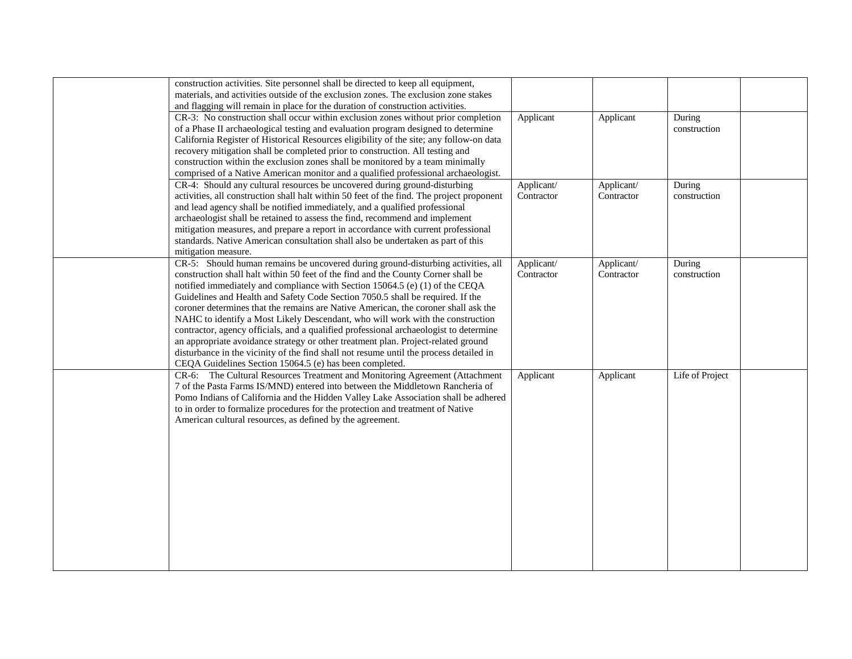| construction activities. Site personnel shall be directed to keep all equipment,          |            |            |                 |  |
|-------------------------------------------------------------------------------------------|------------|------------|-----------------|--|
| materials, and activities outside of the exclusion zones. The exclusion zone stakes       |            |            |                 |  |
| and flagging will remain in place for the duration of construction activities.            |            |            |                 |  |
| CR-3: No construction shall occur within exclusion zones without prior completion         | Applicant  | Applicant  | During          |  |
| of a Phase II archaeological testing and evaluation program designed to determine         |            |            | construction    |  |
| California Register of Historical Resources eligibility of the site; any follow-on data   |            |            |                 |  |
| recovery mitigation shall be completed prior to construction. All testing and             |            |            |                 |  |
| construction within the exclusion zones shall be monitored by a team minimally            |            |            |                 |  |
| comprised of a Native American monitor and a qualified professional archaeologist.        |            |            |                 |  |
| CR-4: Should any cultural resources be uncovered during ground-disturbing                 | Applicant/ | Applicant/ | During          |  |
| activities, all construction shall halt within 50 feet of the find. The project proponent | Contractor | Contractor | construction    |  |
| and lead agency shall be notified immediately, and a qualified professional               |            |            |                 |  |
| archaeologist shall be retained to assess the find, recommend and implement               |            |            |                 |  |
| mitigation measures, and prepare a report in accordance with current professional         |            |            |                 |  |
| standards. Native American consultation shall also be undertaken as part of this          |            |            |                 |  |
| mitigation measure.                                                                       |            |            |                 |  |
| CR-5: Should human remains be uncovered during ground-disturbing activities, all          | Applicant/ | Applicant/ | During          |  |
| construction shall halt within 50 feet of the find and the County Corner shall be         | Contractor | Contractor | construction    |  |
| notified immediately and compliance with Section 15064.5 (e) (1) of the CEQA              |            |            |                 |  |
| Guidelines and Health and Safety Code Section 7050.5 shall be required. If the            |            |            |                 |  |
| coroner determines that the remains are Native American, the coroner shall ask the        |            |            |                 |  |
| NAHC to identify a Most Likely Descendant, who will work with the construction            |            |            |                 |  |
| contractor, agency officials, and a qualified professional archaeologist to determine     |            |            |                 |  |
| an appropriate avoidance strategy or other treatment plan. Project-related ground         |            |            |                 |  |
| disturbance in the vicinity of the find shall not resume until the process detailed in    |            |            |                 |  |
| CEQA Guidelines Section 15064.5 (e) has been completed.                                   |            |            |                 |  |
| CR-6: The Cultural Resources Treatment and Monitoring Agreement (Attachment               | Applicant  | Applicant  | Life of Project |  |
| 7 of the Pasta Farms IS/MND) entered into between the Middletown Rancheria of             |            |            |                 |  |
| Pomo Indians of California and the Hidden Valley Lake Association shall be adhered        |            |            |                 |  |
| to in order to formalize procedures for the protection and treatment of Native            |            |            |                 |  |
| American cultural resources, as defined by the agreement.                                 |            |            |                 |  |
|                                                                                           |            |            |                 |  |
|                                                                                           |            |            |                 |  |
|                                                                                           |            |            |                 |  |
|                                                                                           |            |            |                 |  |
|                                                                                           |            |            |                 |  |
|                                                                                           |            |            |                 |  |
|                                                                                           |            |            |                 |  |
|                                                                                           |            |            |                 |  |
|                                                                                           |            |            |                 |  |
|                                                                                           |            |            |                 |  |
|                                                                                           |            |            |                 |  |
|                                                                                           |            |            |                 |  |
|                                                                                           |            |            |                 |  |
|                                                                                           |            |            |                 |  |